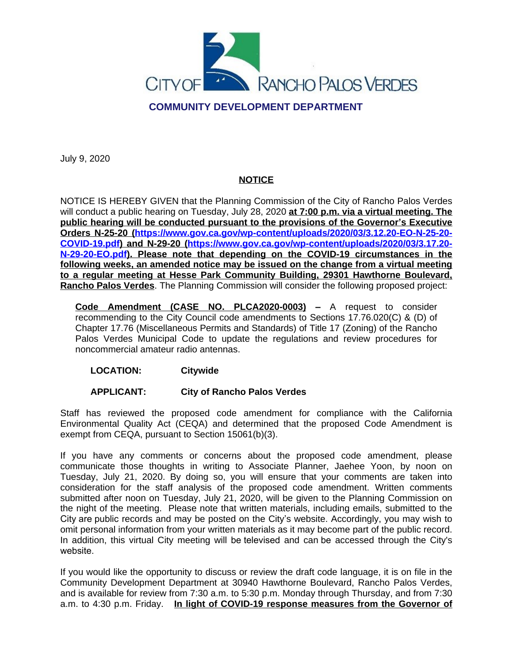

July 9, 2020

## **NOTICE**

NOTICE IS HEREBY GIVEN that the Planning Commission of the City of Rancho Palos Verdes will conduct a public hearing on Tuesday, July 28, 2020 **at 7:00 p.m. via a virtual meeting. The public hearing will be conducted pursuant to the provisions of the Governor's Executive Orders N-25-20 [\(https://www.gov.ca.gov/wp-content/uploads/2020/03/3.12.20-EO-N-25-20-](https://www.gov.ca.gov/wp-content/uploads/2020/03/3.12.20-EO-N-25-20-COVID-19.pdf) COVID-19.pdf) and N-29-20 ([https://www.gov.ca.gov/wp-content/uploads/2020/03/3.17.20-](https://www.gov.ca.gov/wp-content/uploads/2020/03/3.17.20-N-29-20-EO.pdf) N-29-20-EO.pdf). Please note that depending on the COVID-19 circumstances in the following weeks, an amended notice may be issued on the change from a virtual meeting to a regular meeting at Hesse Park Community Building, 29301 Hawthorne Boulevard, Rancho Palos Verdes**. The Planning Commission will consider the following proposed project:

**Code Amendment (CASE NO. PLCA2020-0003) –** A request to consider recommending to the City Council code amendments to Sections 17.76.020(C) & (D) of Chapter 17.76 (Miscellaneous Permits and Standards) of Title 17 (Zoning) of the Rancho Palos Verdes Municipal Code to update the regulations and review procedures for noncommercial amateur radio antennas.

## **LOCATION: Citywide**

## **APPLICANT: City of Rancho Palos Verdes**

Staff has reviewed the proposed code amendment for compliance with the California Environmental Quality Act (CEQA) and determined that the proposed Code Amendment is exempt from CEQA, pursuant to Section 15061(b)(3).

If you have any comments or concerns about the proposed code amendment, please communicate those thoughts in writing to Associate Planner, Jaehee Yoon, by noon on Tuesday, July 21, 2020. By doing so, you will ensure that your comments are taken into consideration for the staff analysis of the proposed code amendment. Written comments submitted after noon on Tuesday, July 21, 2020, will be given to the Planning Commission on the night of the meeting. Please note that written materials, including emails, submitted to the City are public records and may be posted on the City's website. Accordingly, you may wish to omit personal information from your written materials as it may become part of the public record. In addition, this virtual City meeting will be televised and can be accessed through the City's website.

If you would like the opportunity to discuss or review the draft code language, it is on file in the Community Development Department at 30940 Hawthorne Boulevard, Rancho Palos Verdes, and is available for review from 7:30 a.m. to 5:30 p.m. Monday through Thursday, and from 7:30 a.m. to 4:30 p.m. Friday. **In light of COVID-19 response measures from the Governor of**